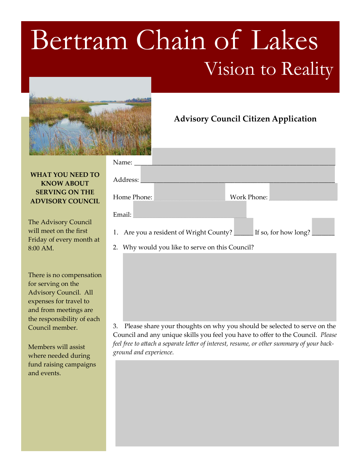## Bertram Chain of Lakes



## **WHAT YOU NEED TO KNOW ABOUT SERVING ON THE ADVISORY COUNCIL**

The Advisory Council will meet on the first Friday of every month at 8:00 AM.

There is no compensation for serving on the Advisory Council. All expenses for travel to and from meetings are the responsibility of each Council member.

Members will assist where needed during fund raising campaigns and events.

| Name: $\_\_$                                                                    |                           |
|---------------------------------------------------------------------------------|---------------------------|
| Address:                                                                        |                           |
| Home Phone:                                                                     | Work Phone: Languard Mork |
| Email:                                                                          |                           |
| 1. Are you a resident of Wright County? <u>_____</u> If so, for how long? _____ |                           |
| 2. Why would you like to serve on this Council?                                 |                           |

**Advisory Council Citizen Application**

3. Please share your thoughts on why you should be selected to serve on the Council and any unique skills you feel you have to offer to the Council. *Please feel free to attach a separate letter of interest, resume, or other summary of your background and experience.*